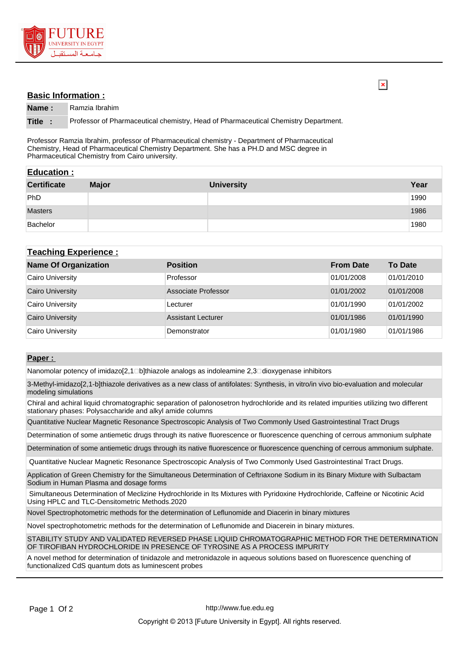

## **Basic Information :**

**Name :** Ramzia Ibrahim

**Title :** Professor of Pharmaceutical chemistry, Head of Pharmaceutical Chemistry Department.

Professor Ramzia Ibrahim, professor of Pharmaceutical chemistry - Department of Pharmaceutical Chemistry, Head of Pharmaceutical Chemistry Department. She has a PH.D and MSC degree in Pharmaceutical Chemistry from Cairo university.

| <b>Education:</b>  |              |                   |      |  |  |
|--------------------|--------------|-------------------|------|--|--|
| <b>Certificate</b> | <b>Major</b> | <b>University</b> | Year |  |  |
| PhD                |              |                   | 1990 |  |  |
| <b>Masters</b>     |              |                   | 1986 |  |  |
| Bachelor           |              |                   | 1980 |  |  |

## **Teaching Experience :**

| <b>Name Of Organization</b> | <b>Position</b>           | <b>From Date</b> | <b>To Date</b> |
|-----------------------------|---------------------------|------------------|----------------|
| Cairo University            | Professor                 | 01/01/2008       | 01/01/2010     |
| <b>Cairo University</b>     | Associate Professor       | 01/01/2002       | 01/01/2008     |
| Cairo University            | Lecturer                  | 01/01/1990       | 01/01/2002     |
| <b>Cairo University</b>     | <b>Assistant Lecturer</b> | 01/01/1986       | 01/01/1990     |
| Cairo University            | Demonstrator              | 01/01/1980       | 01/01/1986     |

## **Paper :**

Nanomolar potency of imidazo[2,1□b]thiazole analogs as indoleamine 2,3□dioxygenase inhibitors

3-Methyl-imidazo[2,1-b]thiazole derivatives as a new class of antifolates: Synthesis, in vitro/in vivo bio-evaluation and molecular modeling simulations

Chiral and achiral liquid chromatographic separation of palonosetron hydrochloride and its related impurities utilizing two different stationary phases: Polysaccharide and alkyl amide columns

Quantitative Nuclear Magnetic Resonance Spectroscopic Analysis of Two Commonly Used Gastrointestinal Tract Drugs

Determination of some antiemetic drugs through its native fluorescence or fluorescence quenching of cerrous ammonium sulphate

Determination of some antiemetic drugs through its native fluorescence or fluorescence quenching of cerrous ammonium sulphate.

Quantitative Nuclear Magnetic Resonance Spectroscopic Analysis of Two Commonly Used Gastrointestinal Tract Drugs.

Application of Green Chemistry for the Simultaneous Determination of Ceftriaxone Sodium in its Binary Mixture with Sulbactam Sodium in Human Plasma and dosage forms

 Simultaneous Determination of Meclizine Hydrochloride in Its Mixtures with Pyridoxine Hydrochloride, Caffeine or Nicotinic Acid Using HPLC and TLC-Densitometric Methods.2020

Novel Spectrophotometric methods for the determination of Leflunomide and Diacerin in binary mixtures

Novel spectrophotometric methods for the determination of Leflunomide and Diacerein in binary mixtures.

STABILITY STUDY AND VALIDATED REVERSED PHASE LIQUID CHROMATOGRAPHIC METHOD FOR THE DETERMINATION OF TIROFIBAN HYDROCHLORIDE IN PRESENCE OF TYROSINE AS A PROCESS IMPURITY

A novel method for determination of tinidazole and metronidazole in aqueous solutions based on fluorescence quenching of functionalized CdS quantum dots as luminescent probes

 $\overline{\mathbf{x}}$